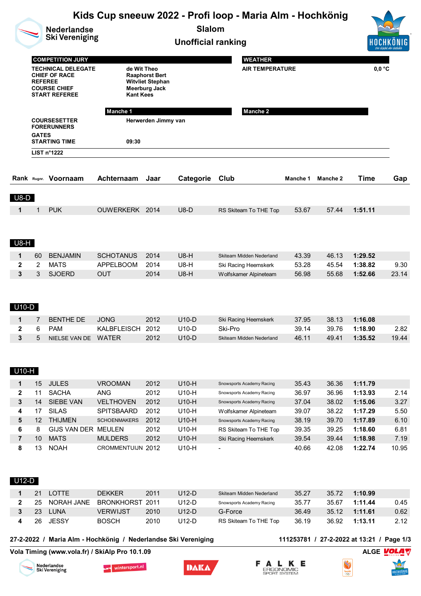| <b>Nederlandse</b><br><b>Ski Vereniging</b> |                |                                                                                                                             |                                                                                                                  |                                                                   |                    | Kids Cup sneeuw 2022 - Profi loop - Maria Alm - Hochkönig<br><b>Slalom</b><br><b>Unofficial ranking</b> |                |                                           |                    |                    |  |
|---------------------------------------------|----------------|-----------------------------------------------------------------------------------------------------------------------------|------------------------------------------------------------------------------------------------------------------|-------------------------------------------------------------------|--------------------|---------------------------------------------------------------------------------------------------------|----------------|-------------------------------------------|--------------------|--------------------|--|
|                                             | <b>REFEREE</b> | <b>COMPETITION JURY</b><br><b>TECHNICAL DELEGATE</b><br><b>CHIEF OF RACE</b><br><b>COURSE CHIEF</b><br><b>START REFEREE</b> | de Wit Theo<br><b>Kant Kees</b>                                                                                  | <b>Raaphorst Bert</b><br><b>Witvliet Stephan</b><br>Meerburg Jack |                    | <b>WEATHER</b><br><b>AIR TEMPERATURE</b>                                                                |                |                                           | $0,0$ °C           |                    |  |
|                                             |                |                                                                                                                             | <b>Manche 1</b>                                                                                                  |                                                                   |                    | <b>Manche 2</b>                                                                                         |                |                                           |                    |                    |  |
|                                             |                | <b>COURSESETTER</b><br><b>FORERUNNERS</b>                                                                                   |                                                                                                                  | Herwerden Jimmy van                                               |                    |                                                                                                         |                |                                           |                    |                    |  |
|                                             | <b>GATES</b>   |                                                                                                                             |                                                                                                                  |                                                                   |                    |                                                                                                         |                |                                           |                    |                    |  |
|                                             |                | <b>STARTING TIME</b><br>LIST n°1222                                                                                         | 09:30                                                                                                            |                                                                   |                    |                                                                                                         |                |                                           |                    |                    |  |
|                                             |                |                                                                                                                             |                                                                                                                  |                                                                   |                    |                                                                                                         |                |                                           |                    |                    |  |
|                                             |                |                                                                                                                             |                                                                                                                  |                                                                   |                    |                                                                                                         |                |                                           |                    |                    |  |
|                                             |                | Rank Rugnr. Voornaam                                                                                                        | Achternaam                                                                                                       | Jaar                                                              | Categorie          | Club                                                                                                    | Manche 1       | Manche 2                                  | Time               | Gap                |  |
| $U8-D$                                      |                |                                                                                                                             |                                                                                                                  |                                                                   |                    |                                                                                                         |                |                                           |                    |                    |  |
| 1                                           | $\mathbf{1}$   | <b>PUK</b>                                                                                                                  | OUWERKERK 2014                                                                                                   |                                                                   | $U8-D$             | RS Skiteam To THE Top                                                                                   | 53.67          | 57.44                                     | 1:51.11            |                    |  |
| <b>U8-H</b>                                 |                |                                                                                                                             |                                                                                                                  |                                                                   |                    |                                                                                                         |                |                                           |                    |                    |  |
| 1                                           | 60             | <b>BENJAMIN</b>                                                                                                             | <b>SCHOTANUS</b>                                                                                                 | 2014                                                              | $U8-H$             | Skiteam Midden Nederland                                                                                | 43.39          | 46.13                                     | 1:29.52            |                    |  |
| 2                                           | 2              | <b>MATS</b>                                                                                                                 | <b>APPELBOOM</b>                                                                                                 | 2014                                                              | <b>U8-H</b>        | Ski Racing Heemskerk                                                                                    | 53.28          | 45.54                                     | 1:38.82            | 9.30               |  |
| 3                                           | 3              | <b>SJOERD</b>                                                                                                               | <b>OUT</b>                                                                                                       | 2014                                                              | $U8-H$             | Wolfskamer Alpineteam                                                                                   | 56.98          | 55.68                                     | 1:52.66            | 23.14              |  |
| U10-D                                       |                |                                                                                                                             |                                                                                                                  |                                                                   |                    |                                                                                                         |                |                                           |                    |                    |  |
| 1<br>2                                      | 7<br>6         | <b>BENTHE DE</b><br><b>PAM</b>                                                                                              | <b>JONG</b><br>KALBFLEISCH                                                                                       | 2012<br>2012                                                      | $U10-D$<br>$U10-D$ | Ski Racing Heemskerk<br>Ski-Pro                                                                         | 37.95<br>39.14 | 38.13<br>39.76                            | 1:16.08<br>1:18.90 | 2.82               |  |
| 3                                           | 5              | NIELSE VAN DE WATER                                                                                                         |                                                                                                                  | 2012                                                              | $U10-D$            | Skiteam Midden Nederland                                                                                | 46.11          | 49.41                                     | 1:35.52            | 19.44              |  |
| U10-H                                       |                |                                                                                                                             |                                                                                                                  |                                                                   |                    |                                                                                                         |                |                                           |                    |                    |  |
| 1                                           | 15             | <b>JULES</b>                                                                                                                | <b>VROOMAN</b>                                                                                                   | 2012                                                              | U10-H              | Snowsports Academy Racing                                                                               | 35.43          | 36.36                                     | 1:11.79            |                    |  |
| $\mathbf 2$                                 | 11             | <b>SACHA</b>                                                                                                                | <b>ANG</b>                                                                                                       | 2012                                                              | U10-H              | Snowsports Academy Racing                                                                               | 36.97          | 36.96                                     | 1:13.93            | 2.14               |  |
| $\mathbf 3$<br>4                            | 14<br>17       | SIEBE VAN<br><b>SILAS</b>                                                                                                   | <b>VELTHOVEN</b><br>SPITSBAARD                                                                                   | 2012<br>2012                                                      | U10-H<br>U10-H     | Snowsports Academy Racing<br>Wolfskamer Alpineteam                                                      | 37.04<br>39.07 | 38.02<br>38.22                            | 1:15.06<br>1:17.29 | 3.27<br>5.50       |  |
| 5                                           | 12             | <b>THIJMEN</b>                                                                                                              | <b>SCHOENMAKERS</b>                                                                                              | 2012                                                              | U10-H              | Snowsports Academy Racing                                                                               | 38.19          | 39.70                                     | 1:17.89            | 6.10               |  |
| 6                                           | 8              | GIJS VAN DER MEULEN                                                                                                         |                                                                                                                  | 2012                                                              | U10-H              | RS Skiteam To THE Top                                                                                   | 39.35          | 39.25                                     | 1:18.60            | 6.81               |  |
| $\overline{7}$                              | 10             | <b>MATS</b>                                                                                                                 | <b>MULDERS</b>                                                                                                   | 2012                                                              | U10-H              | Ski Racing Heemskerk                                                                                    | 39.54          | 39.44                                     | 1:18.98            | 7.19               |  |
| 8                                           | 13             | <b>NOAH</b>                                                                                                                 | CROMMENTUIJN 2012                                                                                                |                                                                   | U10-H              |                                                                                                         | 40.66          | 42.08                                     | 1:22.74            | 10.95              |  |
| $U12-D$                                     |                |                                                                                                                             |                                                                                                                  |                                                                   |                    |                                                                                                         |                |                                           |                    |                    |  |
| 1                                           | 21             | <b>LOTTE</b>                                                                                                                | <b>DEKKER</b>                                                                                                    | 2011                                                              | $U12-D$            | Skiteam Midden Nederland                                                                                | 35.27          | 35.72                                     | 1:10.99            |                    |  |
| $\mathbf{2}$<br>3                           | 25<br>23       | NORAH JANE<br><b>LUNA</b>                                                                                                   | <b>BRONKHORST</b><br><b>VERWIJST</b>                                                                             | 2011<br>2010                                                      | $U12-D$<br>$U12-D$ | Snowsports Academy Racing<br>G-Force                                                                    | 35.77<br>36.49 | 35.67<br>35.12                            | 1:11.44<br>1:11.61 | 0.45<br>0.62       |  |
| 4                                           | 26             | <b>JESSY</b>                                                                                                                | <b>BOSCH</b>                                                                                                     | 2010                                                              | $U12-D$            | RS Skiteam To THE Top                                                                                   | 36.19          | 36.92                                     | 1:13.11            | 2.12               |  |
|                                             |                |                                                                                                                             | 27-2-2022 / Maria Alm - Hochkönig / Nederlandse Ski Vereniging<br>Vola Timing (www.vola.fr) / SkiAlp Pro 10.1.09 |                                                                   |                    |                                                                                                         |                | 111253781 / 27-2-2022 at 13:21 / Page 1/3 |                    | ALGE <b>VOLA</b> V |  |
|                                             |                | Nederlandse<br>Ski Vereniging                                                                                               | wintersport.nl                                                                                                   |                                                                   | DAKA               | ERGONOMIC<br><b>SPORT SYSTEM</b>                                                                        | Е              | S<br><b>TeamNL</b><br>QQO                 |                    | HOCHKÖNIG          |  |

**Volume Control Control Control**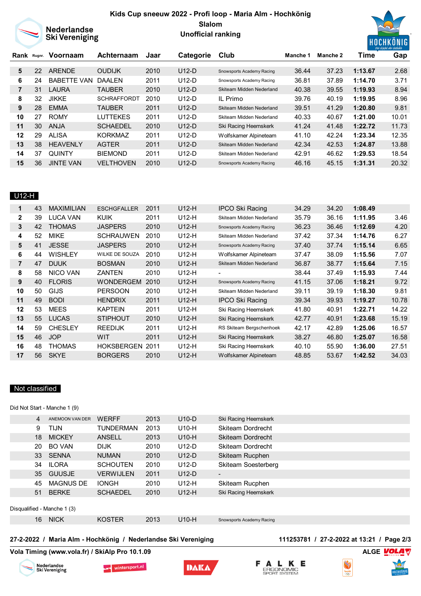## **Kids Cup sneeuw 2022 - Profi loop - Maria Alm - Hochkönig Slalom**



Nederlandse<br>Ski Vereniging

# **Unofficial ranking**



| Rank Rugnr. |    | Voornaam           | Achternaam         | Jaar | Categorie | Club                      | Manche 1 | Manche 2 | Time    | Gap   |
|-------------|----|--------------------|--------------------|------|-----------|---------------------------|----------|----------|---------|-------|
|             |    |                    |                    |      |           |                           |          |          |         |       |
| 5           | 22 | <b>ARENDE</b>      | <b>OUDIJK</b>      | 2010 | $U12-D$   | Snowsports Academy Racing | 36.44    | 37.23    | 1:13.67 | 2.68  |
| 6           | 24 | <b>BABETTE VAN</b> | <b>DAALEN</b>      | 2011 | $U12-D$   | Snowsports Academy Racing | 36.81    | 37.89    | 1:14.70 | 3.71  |
| 7           | 31 | LAURA              | <b>TAUBER</b>      | 2010 | $U12-D$   | Skiteam Midden Nederland  | 40.38    | 39.55    | 1:19.93 | 8.94  |
| 8           | 32 | <b>JIKKE</b>       | <b>SCHRAFFORDT</b> | 2010 | $U12-D$   | IL Primo                  | 39.76    | 40.19    | 1:19.95 | 8.96  |
| 9           | 28 | <b>EMMA</b>        | <b>TAUBER</b>      | 2011 | $U12-D$   | Skiteam Midden Nederland  | 39.51    | 41.29    | 1:20.80 | 9.81  |
| 10          | 27 | <b>ROMY</b>        | LUTTEKES           | 2011 | $U12-D$   | Skiteam Midden Nederland  | 40.33    | 40.67    | 1:21.00 | 10.01 |
| 11          | 30 | ANJA               | <b>SCHAEDEL</b>    | 2010 | $U12-D$   | Ski Racing Heemskerk      | 41.24    | 41.48    | 1:22.72 | 11.73 |
| 12          | 29 | ALISA              | <b>KORKMAZ</b>     | 2011 | $U12-D$   | Wolfskamer Alpineteam     | 41.10    | 42.24    | 1:23.34 | 12.35 |
| 13          | 38 | <b>HEAVENLY</b>    | <b>AGTER</b>       | 2011 | $U12-D$   | Skiteam Midden Nederland  | 42.34    | 42.53    | 1:24.87 | 13.88 |
| 14          | 37 | <b>QUINTY</b>      | <b>BIEMOND</b>     | 2011 | $U12-D$   | Skiteam Midden Nederland  | 42.91    | 46.62    | 1:29.53 | 18.54 |
| 15          | 36 | <b>JINTE VAN</b>   | <b>VELTHOVEN</b>   | 2010 | $U12-D$   | Snowsports Academy Racing | 46.16    | 45.15    | 1:31.31 | 20.32 |

## U12-H

| 43 | <b>MAXIMILIAN</b> | <b>ESCHGFALLER</b>    | 2011 | $U12-H$ | <b>IPCO Ski Racing</b>    | 34.29 | 34.20 | 1:08.49 |       |
|----|-------------------|-----------------------|------|---------|---------------------------|-------|-------|---------|-------|
| 39 | <b>LUCA VAN</b>   | <b>KUIK</b>           | 2011 | U12-H   | Skiteam Midden Nederland  | 35.79 | 36.16 | 1:11.95 | 3.46  |
| 42 | <b>THOMAS</b>     | <b>JASPERS</b>        | 2010 | $U12-H$ | Snowsports Academy Racing | 36.23 | 36.46 | 1:12.69 | 4.20  |
| 52 | <b>MIKE</b>       | <b>SCHRAUWEN</b>      | 2010 | U12-H   | Skiteam Midden Nederland  | 37.42 | 37.34 | 1:14.76 | 6.27  |
| 41 | <b>JESSE</b>      | <b>JASPERS</b>        | 2010 | $U12-H$ | Snowsports Academy Racing | 37.40 | 37.74 | 1:15.14 | 6.65  |
| 44 | <b>WISHLEY</b>    | <b>WILKE DE SOUZA</b> | 2010 | U12-H   | Wolfskamer Alpineteam     | 37.47 | 38.09 | 1:15.56 | 7.07  |
| 47 | <b>DUUK</b>       | <b>BOSMAN</b>         | 2010 | $U12-H$ | Skiteam Midden Nederland  | 36.87 | 38.77 | 1:15.64 | 7.15  |
| 58 | NICO VAN          | <b>ZANTEN</b>         | 2010 | U12-H   | $\overline{\phantom{0}}$  | 38.44 | 37.49 | 1:15.93 | 7.44  |
| 40 | <b>FLORIS</b>     | <b>WONDERGEM</b>      | 2010 | U12-H   | Snowsports Academy Racing | 41.15 | 37.06 | 1:18.21 | 9.72  |
| 50 | <b>GIJS</b>       | <b>PERSOON</b>        | 2010 | U12-H   | Skiteam Midden Nederland  | 39.11 | 39.19 | 1:18.30 | 9.81  |
| 49 | <b>BODI</b>       | <b>HENDRIX</b>        | 2011 | $U12-H$ | <b>IPCO Ski Racing</b>    | 39.34 | 39.93 | 1:19.27 | 10.78 |
| 53 | <b>MEES</b>       | <b>KAPTEIN</b>        | 2011 | U12-H   | Ski Racing Heemskerk      | 41.80 | 40.91 | 1:22.71 | 14.22 |
| 55 | <b>LUCAS</b>      | <b>STIPHOUT</b>       | 2010 | $U12-H$ | Ski Racing Heemskerk      | 42.77 | 40.91 | 1:23.68 | 15.19 |
| 59 | <b>CHESLEY</b>    | <b>REEDIJK</b>        | 2011 | U12-H   | RS Skiteam Bergschenhoek  | 42.17 | 42.89 | 1:25.06 | 16.57 |
| 46 | <b>JOP</b>        | WIT                   | 2011 | U12-H   | Ski Racing Heemskerk      | 38.27 | 46.80 | 1:25.07 | 16.58 |
| 48 | <b>THOMAS</b>     | <b>HOKSBERGEN</b>     | 2011 | U12-H   | Ski Racing Heemskerk      | 40.10 | 55.90 | 1:36.00 | 27.51 |
| 56 | <b>SKYE</b>       | <b>BORGERS</b>        | 2010 | $U12-H$ | Wolfskamer Alpineteam     | 48.85 | 53.67 | 1:42.52 | 34.03 |
|    |                   |                       |      |         |                           |       |       |         |       |

## Not classified

Did Not Start - Manche 1 (9)

| 4  | ANEMOON VAN DER             | <b>WERFF</b>     | 2013 | $U10-D$ | Ski Racing Heemskerk       |
|----|-----------------------------|------------------|------|---------|----------------------------|
| 9  | <b>TIJN</b>                 | <b>TUNDERMAN</b> | 2013 | U10-H   | <b>Skiteam Dordrecht</b>   |
| 18 | <b>MICKEY</b>               | <b>ANSELL</b>    | 2013 | $U10-H$ | <b>Skiteam Dordrecht</b>   |
| 20 | <b>BO VAN</b>               | <b>DIJK</b>      | 2010 | $U12-D$ | Skiteam Dordrecht          |
| 33 | <b>SENNA</b>                | <b>NUMAN</b>     | 2010 | $U12-D$ | Skiteam Rucphen            |
| 34 | <b>ILORA</b>                | <b>SCHOUTEN</b>  | 2010 | $U12-D$ | <b>Skiteam Soesterberg</b> |
| 35 | GUUSJE                      | <b>VERWIJLEN</b> | 2011 | $U12-D$ | $\overline{\phantom{0}}$   |
| 45 | <b>MAGNUS DE</b>            | <b>IONGH</b>     | 2010 | $U12-H$ | Skiteam Rucphen            |
| 51 | <b>BERKE</b>                | <b>SCHAEDEL</b>  | 2010 | $U12-H$ | Ski Racing Heemskerk       |
|    |                             |                  |      |         |                            |
|    | Disqualified - Manche 1 (3) |                  |      |         |                            |
| 16 | <b>NICK</b>                 | <b>KOSTER</b>    | 2013 | $U10-H$ | Snowsports Academy Racing  |

## **27-2-2022 / Maria Alm - Hochkönig / Nederlandse Ski Vereniging 111253781 / 27-2-2022 at 13:21 / Page 2/3**

Vola Timing (www.vola.fr) / SkiAlp Pro 10.1.09 **ALGE ALGE MOLA** 









S

**TeamNL**